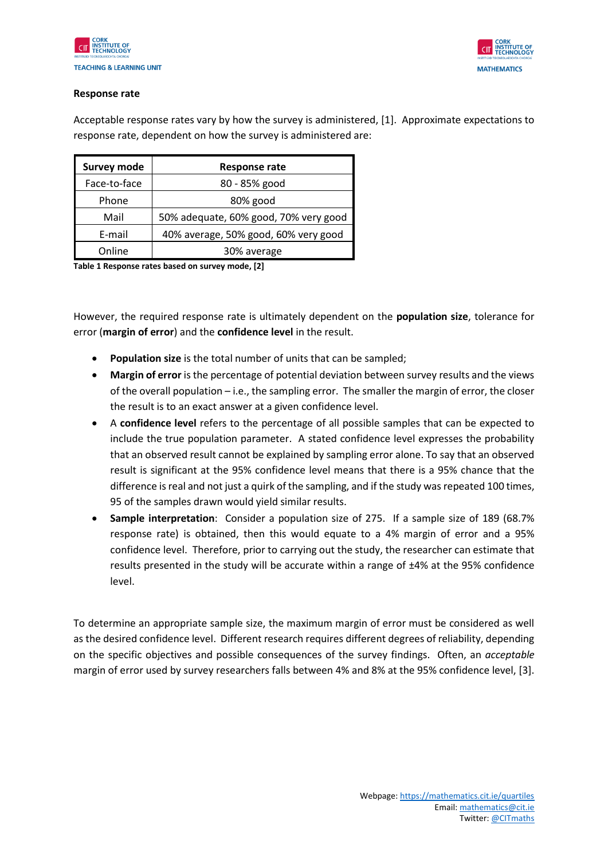



## **Response rate**

Acceptable response rates vary by how the survey is administered, [1]. Approximate expectations to response rate, dependent on how the survey is administered are:

| <b>Survey mode</b> | Response rate                         |
|--------------------|---------------------------------------|
| Face-to-face       | 80 - 85% good                         |
| Phone              | 80% good                              |
| Mail               | 50% adequate, 60% good, 70% very good |
| E-mail             | 40% average, 50% good, 60% very good  |
| Online             | 30% average                           |

**Table 1 Response rates based on survey mode, [2]**

However, the required response rate is ultimately dependent on the **population size**, tolerance for error (**margin of error**) and the **confidence level** in the result.

- **Population size** is the total number of units that can be sampled;
- **Margin of error** is the percentage of potential deviation between survey results and the views of the overall population – i.e., the sampling error. The smaller the margin of error, the closer the result is to an exact answer at a given confidence level.
- A **confidence level** refers to the percentage of all possible samples that can be expected to include the true population parameter. A stated confidence level expresses the probability that an observed result cannot be explained by sampling error alone. To say that an observed result is significant at the 95% confidence level means that there is a 95% chance that the difference is real and not just a quirk of the sampling, and if the study was repeated 100 times, 95 of the samples drawn would yield similar results.
- **Sample interpretation**: Consider a population size of 275. If a sample size of 189 (68.7% response rate) is obtained, then this would equate to a 4% margin of error and a 95% confidence level. Therefore, prior to carrying out the study, the researcher can estimate that results presented in the study will be accurate within a range of ±4% at the 95% confidence level.

To determine an appropriate sample size, the maximum margin of error must be considered as well as the desired confidence level. Different research requires different degrees of reliability, depending on the specific objectives and possible consequences of the survey findings. Often, an *acceptable* margin of error used by survey researchers falls between 4% and 8% at the 95% confidence level, [3].